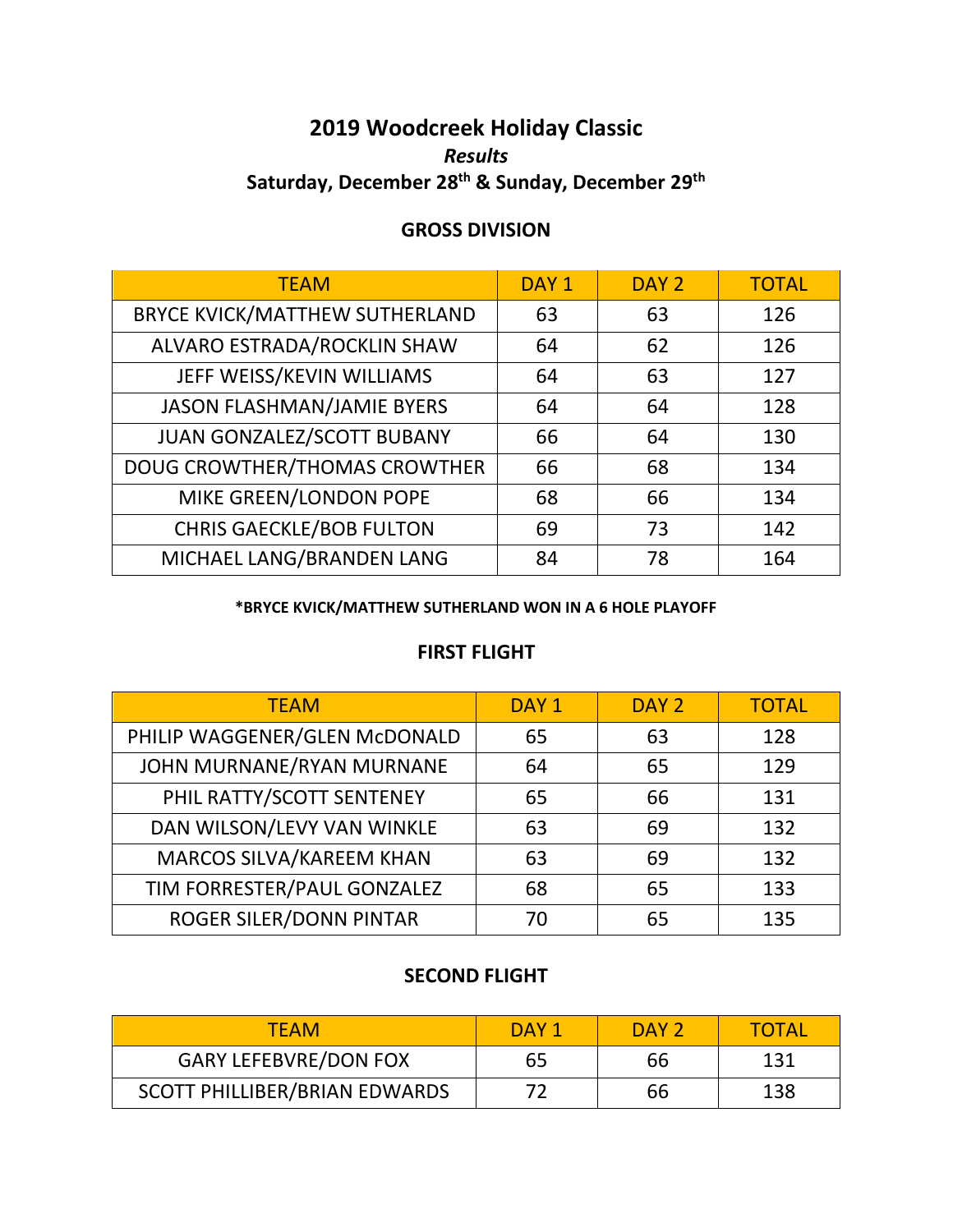# **2019 Woodcreek Holiday Classic** *Results* **Saturday, December 28 th & Sunday, December 29th**

## **GROSS DIVISION**

| <b>TEAM</b>                           | DAY <sub>1</sub> | DAY <sub>2</sub> | <b>TOTAL</b> |
|---------------------------------------|------------------|------------------|--------------|
| <b>BRYCE KVICK/MATTHEW SUTHERLAND</b> | 63               | 63               | 126          |
| ALVARO ESTRADA/ROCKLIN SHAW           | 64               | 62               | 126          |
| JEFF WEISS/KEVIN WILLIAMS             | 64               | 63               | 127          |
| <b>JASON FLASHMAN/JAMIE BYERS</b>     | 64               | 64               | 128          |
| JUAN GONZALEZ/SCOTT BUBANY            | 66               | 64               | 130          |
| <b>DOUG CROWTHER/THOMAS CROWTHER</b>  | 66               | 68               | 134          |
| MIKE GREEN/LONDON POPE                | 68               | 66               | 134          |
| <b>CHRIS GAECKLE/BOB FULTON</b>       | 69               | 73               | 142          |
| MICHAEL LANG/BRANDEN LANG             | 84               | 78               | 164          |

#### **\*BRYCE KVICK/MATTHEW SUTHERLAND WON IN A 6 HOLE PLAYOFF**

### **FIRST FLIGHT**

| <b>TEAM</b>                   | DAY <sub>1</sub> | DAY <sub>2</sub> | <b>TOTAL</b> |
|-------------------------------|------------------|------------------|--------------|
| PHILIP WAGGENER/GLEN McDONALD | 65               | 63               | 128          |
| JOHN MURNANE/RYAN MURNANE     | 64               | 65               | 129          |
| PHIL RATTY/SCOTT SENTENEY     | 65               | 66               | 131          |
| DAN WILSON/LEVY VAN WINKLE    | 63               | 69               | 132          |
| MARCOS SILVA/KAREEM KHAN      | 63               | 69               | 132          |
| TIM FORRESTER/PAUL GONZALEZ   | 68               | 65               | 133          |
| ROGER SILER/DONN PINTAR       | 70               | 65               | 135          |

### **SECOND FLIGHT**

| TFAM                          | DAY 1 | DAY <sub>2</sub> | TOTAL |
|-------------------------------|-------|------------------|-------|
| <b>GARY LEFEBVRE/DON FOX</b>  | 65    | 66               | 131   |
| SCOTT PHILLIBER/BRIAN EDWARDS |       | 66               | 138   |